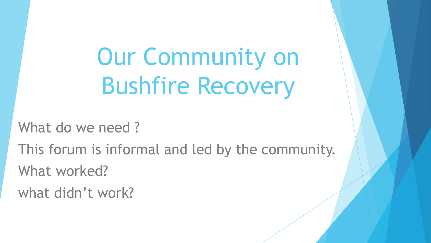Our Community on Bushfire Recovery

What do we need?

This forum is informal and led by the community.

What worked?

what didn't work?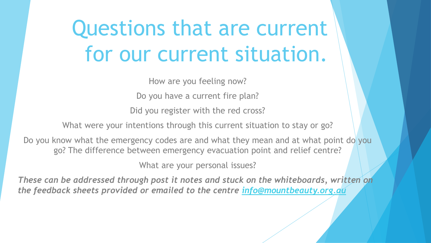# Questions that are current for our current situation.

How are you feeling now?

Do you have a current fire plan?

Did you register with the red cross?

What were your intentions through this current situation to stay or go?

Do you know what the emergency codes are and what they mean and at what point do you go? The difference between emergency evacuation point and relief centre?

What are your personal issues?

*These can be addressed through post it notes and stuck on the whiteboards, written on the feedback sheets provided or emailed to the centre [info@mountbeauty.org.au](mailto:info@mountbeauty.org.au)*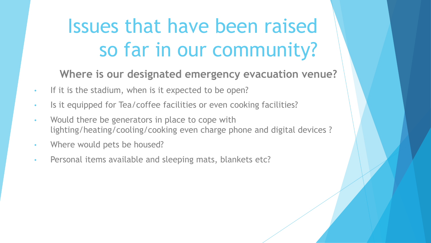**Where is our designated emergency evacuation venue?**

- If it is the stadium, when is it expected to be open?
- Is it equipped for Tea/coffee facilities or even cooking facilities?
- Would there be generators in place to cope with lighting/heating/cooling/cooking even charge phone and digital devices ?
- Where would pets be housed?
- Personal items available and sleeping mats, blankets etc?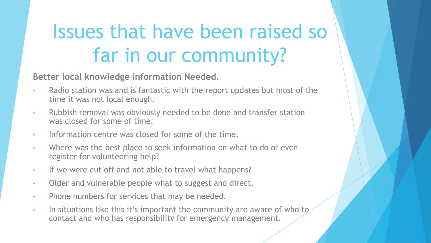**Better local knowledge information Needed.**

- Radio station was and is fantastic with the report updates but most of the time it was not local enough.
- Rubbish removal was obviously needed to be done and transfer station was closed for some of time.
- Information centre was closed for some of the time.
- Where was the best place to seek information on what to do or even register for volunteering help?
- If we were cut off and not able to travel what happens?
- Older and vulnerable people what to suggest and direct.
- Phone numbers for services that may be needed.
- In situations like this it's important the community are aware of who to contact and who has responsibility for emergency management.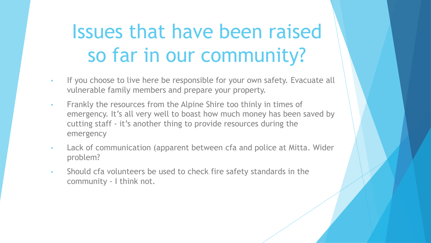- If you choose to live here be responsible for your own safety. Evacuate all vulnerable family members and prepare your property.
- Frankly the resources from the Alpine Shire too thinly in times of emergency. It's all very well to boast how much money has been saved by cutting staff - it's another thing to provide resources during the emergency
- Lack of communication (apparent between cfa and police at Mitta. Wider problem?
- Should cfa volunteers be used to check fire safety standards in the community - I think not.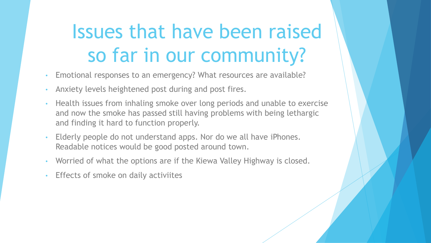- Emotional responses to an emergency? What resources are available?
- Anxiety levels heightened post during and post fires.
- Health issues from inhaling smoke over long periods and unable to exercise and now the smoke has passed still having problems with being lethargic and finding it hard to function properly.
- Elderly people do not understand apps. Nor do we all have iPhones. Readable notices would be good posted around town.
- Worried of what the options are if the Kiewa Valley Highway is closed.
- Effects of smoke on daily activiites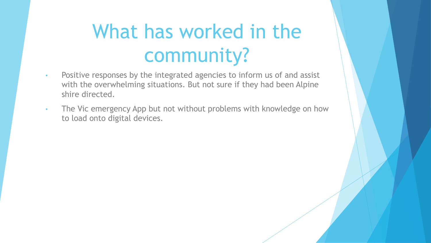### What has worked in the community?

- Positive responses by the integrated agencies to inform us of and assist with the overwhelming situations. But not sure if they had been Alpine shire directed.
- The Vic emergency App but not without problems with knowledge on how to load onto digital devices.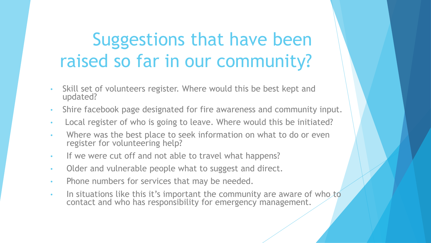- Skill set of volunteers register. Where would this be best kept and updated?
- Shire facebook page designated for fire awareness and community input.
- Local register of who is going to leave. Where would this be initiated?
- Where was the best place to seek information on what to do or even register for volunteering help?
- If we were cut off and not able to travel what happens?
- Older and vulnerable people what to suggest and direct.
- Phone numbers for services that may be needed.
- In situations like this it's important the community are aware of who to contact and who has responsibility for emergency management.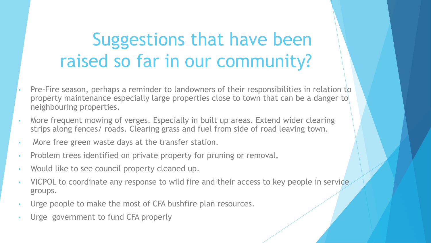- Pre-Fire season, perhaps a reminder to landowners of their responsibilities in relation to property maintenance especially large properties close to town that can be a danger to neighbouring properties.
- More frequent mowing of verges. Especially in built up areas. Extend wider clearing strips along fences/ roads. Clearing grass and fuel from side of road leaving town.
- More free green waste days at the transfer station.
- Problem trees identified on private property for pruning or removal.
- Would like to see council property cleaned up.
- VICPOL to coordinate any response to wild fire and their access to key people in service groups.
- Urge people to make the most of CFA bushfire plan resources.
- Urge government to fund CFA properly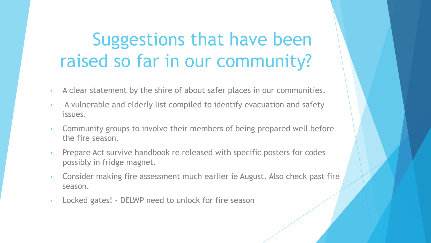- A clear statement by the shire of about safer places in our communities.
- A vulnerable and elderly list compiled to identify evacuation and safety issues.
- Community groups to involve their members of being prepared well before the fire season.
- Prepare Act survive handbook re released with specific posters for codes possibly in fridge magnet.
- Consider making fire assessment much earlier ie August. Also check past fire season.
- Locked gates! DELWP need to unlock for fire season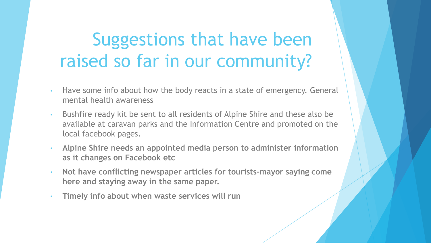- Have some info about how the body reacts in a state of emergency. General mental health awareness
- Bushfire ready kit be sent to all residents of Alpine Shire and these also be available at caravan parks and the Information Centre and promoted on the local facebook pages.
- **Alpine Shire needs an appointed media person to administer information as it changes on Facebook etc**
- **Not have conflicting newspaper articles for tourists-mayor saying come here and staying away in the same paper.**
- **Timely info about when waste services will run**